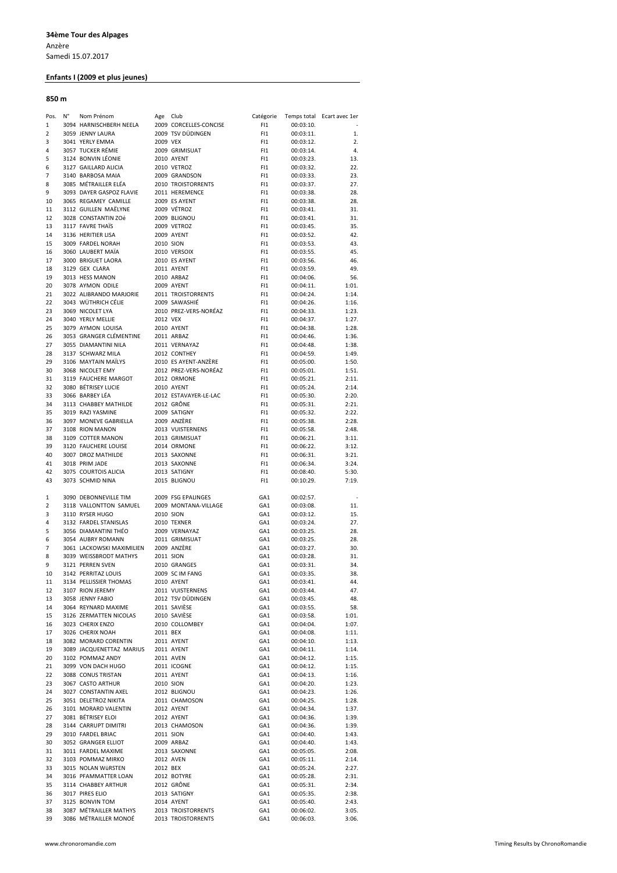# Enfants I (2009 et plus jeunes)

### 850 m

| Pos.                | N° | Nom Prénom                                | Age Club  |                                     | Catégorie  |                        | Temps total Ecart avec 1er |
|---------------------|----|-------------------------------------------|-----------|-------------------------------------|------------|------------------------|----------------------------|
| $\mathbf{1}$        |    | 3094 HARNISCHBERH NEELA                   |           | 2009 CORCELLES-CONCISE              | FI1        | 00:03:10.              |                            |
| $\overline{2}$      |    | 3059 JENNY LAURA                          |           | 2009 TSV DÜDINGEN                   | FI1        | 00:03:11.              | 1.                         |
| 3                   |    | 3041 YERLY EMMA                           | 2009 VEX  |                                     | FI1        | 00:03:12.              | 2.                         |
| 4                   |    | 3057 TUCKER RÉMIE                         |           | 2009 GRIMISUAT                      | FI1        | 00:03:14.              | 4.                         |
| 5                   |    | 3124 BONVIN LÉONIE                        |           | 2010 AYENT                          | FI1        | 00:03:23.              | 13.                        |
| 6<br>$\overline{7}$ |    | 3127 GAILLARD ALICIA                      |           | 2010 VETROZ                         | FI1        | 00:03:32.<br>00:03:33. | 22.                        |
| 8                   |    | 3140 BARBOSA MAIA<br>3085 MÉTRAILLER ELÉA |           | 2009 GRANDSON<br>2010 TROISTORRENTS | FI1<br>FI1 |                        | 23.<br>27.                 |
| 9                   |    | 3093 DAYER GASPOZ FLAVIE                  |           | 2011 HEREMENCE                      | FI1        | 00:03:37.<br>00:03:38. | 28.                        |
| 10                  |    | 3065 REGAMEY CAMILLE                      |           | 2009 ES AYENT                       | FI1        | 00:03:38.              | 28.                        |
| 11                  |    | 3112 GUILLEN MAËLYNE                      |           | 2009 VÉTROZ                         | FI1        | 00:03:41.              | 31.                        |
| 12                  |    | 3028 CONSTANTIN ZOé                       |           | 2009 BLIGNOU                        | FI1        | 00:03:41.              | 31.                        |
| 13                  |    | 3117 FAVRE THAIS                          |           | 2009 VETROZ                         | FI1        | 00:03:45.              | 35.                        |
| 14                  |    | 3136 HERITIER LISA                        |           | 2009 AYENT                          | FI1        | 00:03:52.              | 42.                        |
| 15                  |    | 3009 FARDEL NORAH                         | 2010 SION |                                     | FI1        | 00:03:53.              | 43.                        |
| 16                  |    | 3060 LAUBERT MAÏA                         |           | 2010 VERSOIX                        | FI1        | 00:03:55.              | 45.                        |
| 17                  |    | 3000 BRIGUET LAORA                        |           | 2010 ES AYENT                       | FI1        | 00:03:56.              | 46.                        |
| 18                  |    | 3129 GEX CLARA                            |           | 2011 AYENT                          | FI1        | 00:03:59.              | 49.                        |
| 19                  |    | 3013 HESS MANON                           |           | 2010 ARBAZ                          | FI1        | 00:04:06.              | 56.                        |
| 20                  |    | 3078 AYMON ODILE                          |           | 2009 AYENT                          | FI1        | 00:04:11.              | 1:01.                      |
| 21                  |    | 3022 ALIBRANDO MARJORIE                   |           | 2011 TROISTORRENTS                  | FI1        | 00:04:24.              | 1:14.                      |
| 22                  |    | 3043 WÜTHRICH CÉLIE                       |           | 2009 SAWASHIÉ                       | FI1        | 00:04:26.              | 1:16.                      |
| 23                  |    | 3069 NICOLET LYA                          |           | 2010 PREZ-VERS-NOREAZ               | FI1        | 00:04:33.              | 1:23.                      |
| 24                  |    | 3040 YERLY MELLIE                         | 2012 VEX  |                                     | FI1        | 00:04:37.              | 1:27.                      |
| 25                  |    | 3079 AYMON LOUISA                         |           | 2010 AYENT                          | FI1        | 00:04:38.              | 1:28.                      |
| 26                  |    | 3053 GRANGER CLÉMENTINE                   |           | 2011 ARBAZ                          | FI1        | 00:04:46.              | 1:36.                      |
| 27<br>28            |    | 3055 DIAMANTINI NILA<br>3137 SCHWARZ MILA |           | 2011 VERNAYAZ<br>2012 CONTHEY       | FI1<br>FI1 | 00:04:48.<br>00:04:59. | 1:38.<br>1:49.             |
| 29                  |    | 3106 MAYTAIN MAILYS                       |           | 2010 ES AYENT-ANZERE                | FI1        | 00:05:00.              | 1:50.                      |
| 30                  |    | 3068 NICOLET EMY                          |           | 2012 PREZ-VERS-NORÉAZ               | FI1        | 00:05:01.              | 1:51.                      |
| 31                  |    | 3119 FAUCHERE MARGOT                      |           | 2012 ORMONE                         | FI1        | 00:05:21.              | 2:11.                      |
| 32                  |    | 3080 BÉTRISEY LUCIE                       |           | 2010 AYENT                          | FI1        | 00:05:24.              | 2:14.                      |
| 33                  |    | 3066 BARBEY LÉA                           |           | 2012 ESTAVAYER-LE-LAC               | FI1        | 00:05:30.              | 2:20.                      |
| 34                  |    | 3113 CHABBEY MATHILDE                     |           | 2012 GRÔNE                          | FI1        | 00:05:31.              | 2:21.                      |
| 35                  |    | 3019 RAZI YASMINE                         |           | 2009 SATIGNY                        | FI1        | 00:05:32.              | 2:22.                      |
| 36                  |    | 3097 MONEVE GABRIELLA                     |           | 2009 ANZERE                         | FI1        | 00:05:38.              | 2:28.                      |
| 37                  |    | 3108 RION MANON                           |           | 2013 VUISTERNENS                    | FI1        | 00:05:58.              | 2:48.                      |
| 38                  |    | 3109 COTTER MANON                         |           | 2013 GRIMISUAT                      | FI1        | 00:06:21.              | 3:11.                      |
| 39                  |    | 3120 FAUCHERE LOUISE                      |           | 2014 ORMONE                         | FI1        | 00:06:22.              | 3:12.                      |
| 40                  |    | 3007 DROZ MATHILDE                        |           | 2013 SAXONNE                        | FI1        | 00:06:31.              | 3:21.                      |
| 41                  |    | 3018 PRIM JADE                            |           | 2013 SAXONNE                        | FI1        | 00:06:34.              | 3:24.                      |
| 42                  |    | 3075 COURTOIS ALICIA                      |           | 2013 SATIGNY                        | FI1        | 00:08:40.              | 5:30.                      |
| 43                  |    | 3073 SCHMID NINA                          |           | 2015 BLIGNOU                        | FI1        | 00:10:29.              | 7:19.                      |
|                     |    |                                           |           |                                     |            |                        |                            |
| 1                   |    | 3090 DEBONNEVILLE TIM                     |           | 2009 FSG EPALINGES                  | GA1        | 00:02:57.              |                            |
| $\overline{2}$      |    | 3118 VALLONTTON SAMUEL                    |           | 2009 MONTANA-VILLAGE                | GA1        | 00:03:08.              | 11.                        |
| 3<br>4              |    | 3110 RYSER HUGO<br>3132 FARDEL STANISLAS  | 2010 SION | 2010 TEXNER                         | GA1<br>GA1 | 00:03:12.<br>00:03:24. | 15.<br>27.                 |
| 5                   |    | 3056 DIAMANTINI THÉO                      |           | 2009 VERNAYAZ                       | GA1        | 00:03:25.              | 28.                        |
| 6                   |    | 3054 AUBRY ROMANN                         |           | 2011 GRIMISUAT                      | GA1        | 00:03:25.              | 28.                        |
| $\overline{7}$      |    | 3061 LACKOWSKI MAXIMILIEN                 |           | 2009 ANZÈRE                         | GA1        | 00:03:27.              | 30.                        |
| 8                   |    | 3039 WEISSBRODT MATHYS                    | 2011 SION |                                     | GA1        | 00:03:28.              | 31.                        |
| 9                   |    | 3121 PERREN SVEN                          |           | 2010 GRANGES                        | GA1        | 00:03:31.              | 34.                        |
| 10                  |    | 3142 PERRITAZ LOUIS                       |           | 2009 SC IM FANG                     | GA1        | 00:03:35.              | 38.                        |
| 11                  |    | 3134 PELLISSIER THOMAS                    |           | 2010 AYENT                          | GA1        | 00:03:41.              | 44.                        |
| 12                  |    | 3107 RION JEREMY                          |           | 2011 VUISTERNENS                    | GA1        | 00:03:44.              | 47.                        |
| 13                  |    | 3058 JENNY FABIO                          |           | 2012 TSV DÜDINGEN                   | GA1        | 00:03:45.              | 48.                        |
| 14                  |    | 3064 REYNARD MAXIME                       |           | 2011 SAVIÈSE                        | GA1        | 00:03:55.              | 58.                        |
| 15                  |    | 3126 ZERMATTEN NICOLAS                    |           | 2010 SAVIÈSE                        | GA1        | 00:03:58.              | 1:01.                      |
| 16                  |    | 3023 CHERIX ENZO                          |           | 2010 COLLOMBEY                      | GA1        | 00:04:04.              | 1:07.                      |
| 17                  |    | 3026 CHERIX NOAH                          | 2011 BEX  |                                     | GA1        | 00:04:08.              | 1:11.                      |
| 18                  |    | 3082 MORARD CORENTIN                      |           | 2011 AYENT                          | GA1        | 00:04:10.              | 1:13.                      |
| 19                  |    | 3089 JACQUENETTAZ MARIUS                  |           | 2011 AYENT                          | GA1        | 00:04:11.              | 1:14.                      |
| 20                  |    | 3102 POMMAZ ANDY                          |           | 2011 AVEN                           | GA1        | 00:04:12.              | 1:15.                      |
| 21<br>22            |    | 3099 VON DACH HUGO<br>3088 CONUS TRISTAN  |           | 2011 ICOGNE<br>2011 AYENT           | GA1        | 00:04:12.              | 1:15.<br>1:16.             |
| 23                  |    | 3067 CASTO ARTHUR                         | 2010 SION |                                     | GA1<br>GA1 | 00:04:13.<br>00:04:20. | 1:23.                      |
| 24                  |    | 3027 CONSTANTIN AXEL                      |           | 2012 BLIGNOU                        | GA1        | 00:04:23.              | 1:26.                      |
| 25                  |    | 3051 DELETROZ NIKITA                      |           | 2011 CHAMOSON                       | GA1        | 00:04:25.              | 1:28.                      |
| 26                  |    | 3101 MORARD VALENTIN                      |           | 2012 AYENT                          | GA1        | 00:04:34.              | 1:37.                      |
| 27                  |    | 3081 BÉTRISEY ELOI                        |           | 2012 AYENT                          | GA1        | 00:04:36.              | 1:39.                      |
| 28                  |    | 3144 CARRUPT DIMITRI                      |           | 2013 CHAMOSON                       | GA1        | 00:04:36.              | 1:39.                      |
| 29                  |    | 3010 FARDEL BRIAC                         | 2011 SION |                                     | GA1        | 00:04:40.              | 1:43.                      |
| 30                  |    | 3052 GRANGER ELLIOT                       |           | 2009 ARBAZ                          | GA1        | 00:04:40.              | 1:43.                      |
| 31                  |    | 3011 FARDEL MAXIME                        |           | 2013 SAXONNE                        | GA1        | 00:05:05.              | 2:08.                      |
| 32                  |    | 3103 POMMAZ MIRKO                         |           | 2012 AVEN                           | GA1        | 00:05:11.              | 2:14.                      |
| 33                  |    | 3015 NOLAN WÜRSTEN                        | 2012 BEX  |                                     | GA1        | 00:05:24.              | 2:27.                      |
| 34                  |    | 3016 PFAMMATTER LOAN                      |           | 2012 BOTYRE                         | GA1        | 00:05:28.              | 2:31.                      |
| 35                  |    | 3114 CHABBEY ARTHUR                       |           | 2012 GRÔNE                          | GA1        | 00:05:31.              | 2:34.                      |
| 36                  |    | 3017 PIRES ELIO                           |           | 2013 SATIGNY                        | GA1        | 00:05:35.              | 2:38.                      |
| 37                  |    | 3125 BONVIN TOM                           |           | 2014 AYENT                          | GA1        | 00:05:40.              | 2:43.                      |
| 38                  |    | 3087 MÉTRAILLER MATHYS                    |           | 2013 TROISTORRENTS                  | GA1        | 00:06:02.              | 3:05.                      |
| 39                  |    | 3086 MÉTRAILLER MONOÉ                     |           | 2013 TROISTORRENTS                  | GA1        | 00:06:03.              | 3:06.                      |